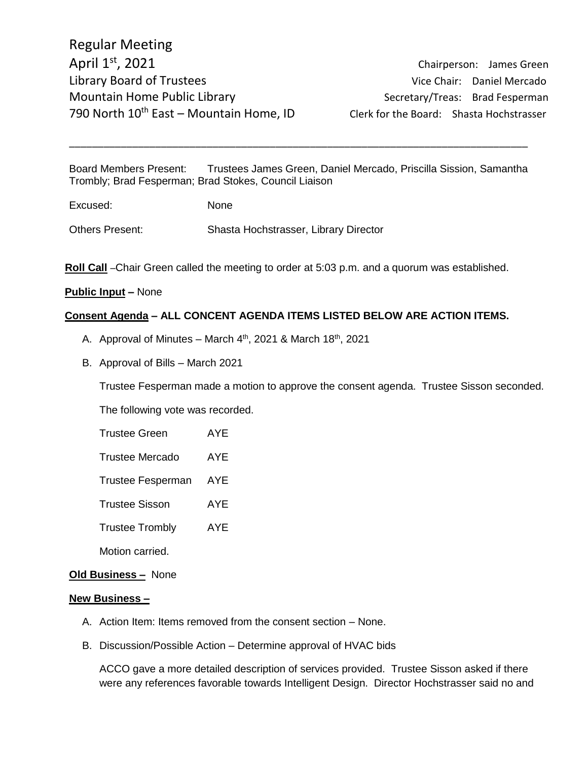Chairperson: James Green

Board Members Present: Trustees James Green, Daniel Mercado, Priscilla Sission, Samantha Trombly; Brad Fesperman; Brad Stokes, Council Liaison

\_\_\_\_\_\_\_\_\_\_\_\_\_\_\_\_\_\_\_\_\_\_\_\_\_\_\_\_\_\_\_\_\_\_\_\_\_\_\_\_\_\_\_\_\_\_\_\_\_\_\_\_\_\_\_\_\_\_\_\_\_\_\_\_\_\_\_\_\_\_\_\_\_\_\_\_\_\_\_\_

| Excused: | None |
|----------|------|
|          |      |

Others Present: Shasta Hochstrasser, Library Director

**Roll Call** –Chair Green called the meeting to order at 5:03 p.m. and a quorum was established.

#### **Public Input –** None

## **Consent Agenda – ALL CONCENT AGENDA ITEMS LISTED BELOW ARE ACTION ITEMS.**

- A. Approval of Minutes March  $4<sup>th</sup>$ , 2021 & March 18<sup>th</sup>, 2021
- B. Approval of Bills March 2021

Trustee Fesperman made a motion to approve the consent agenda. Trustee Sisson seconded.

The following vote was recorded.

Trustee Green AYE

Trustee Mercado AYE

Trustee Fesperman AYE

Trustee Sisson AYE

Trustee Trombly AYE

Motion carried.

### **Old Business –** None

#### **New Business –**

- A. Action Item: Items removed from the consent section None.
- B. Discussion/Possible Action Determine approval of HVAC bids

ACCO gave a more detailed description of services provided. Trustee Sisson asked if there were any references favorable towards Intelligent Design. Director Hochstrasser said no and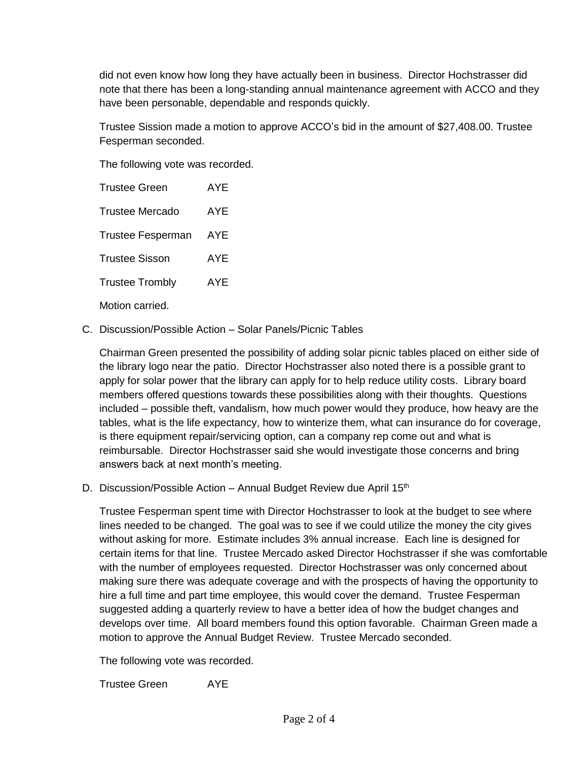did not even know how long they have actually been in business. Director Hochstrasser did note that there has been a long-standing annual maintenance agreement with ACCO and they have been personable, dependable and responds quickly.

Trustee Sission made a motion to approve ACCO's bid in the amount of \$27,408.00. Trustee Fesperman seconded.

The following vote was recorded.

| <b>Trustee Green</b>     | <b>AYE</b> |
|--------------------------|------------|
| <b>Trustee Mercado</b>   | AYE        |
| <b>Trustee Fesperman</b> | AYE        |
| <b>Trustee Sisson</b>    | <b>AYE</b> |
| <b>Trustee Trombly</b>   | <b>AYE</b> |
|                          |            |

Motion carried.

C. Discussion/Possible Action – Solar Panels/Picnic Tables

Chairman Green presented the possibility of adding solar picnic tables placed on either side of the library logo near the patio. Director Hochstrasser also noted there is a possible grant to apply for solar power that the library can apply for to help reduce utility costs. Library board members offered questions towards these possibilities along with their thoughts. Questions included – possible theft, vandalism, how much power would they produce, how heavy are the tables, what is the life expectancy, how to winterize them, what can insurance do for coverage, is there equipment repair/servicing option, can a company rep come out and what is reimbursable. Director Hochstrasser said she would investigate those concerns and bring answers back at next month's meeting.

D. Discussion/Possible Action – Annual Budget Review due April  $15<sup>th</sup>$ 

Trustee Fesperman spent time with Director Hochstrasser to look at the budget to see where lines needed to be changed. The goal was to see if we could utilize the money the city gives without asking for more. Estimate includes 3% annual increase. Each line is designed for certain items for that line. Trustee Mercado asked Director Hochstrasser if she was comfortable with the number of employees requested. Director Hochstrasser was only concerned about making sure there was adequate coverage and with the prospects of having the opportunity to hire a full time and part time employee, this would cover the demand. Trustee Fesperman suggested adding a quarterly review to have a better idea of how the budget changes and develops over time. All board members found this option favorable. Chairman Green made a motion to approve the Annual Budget Review. Trustee Mercado seconded.

The following vote was recorded.

Trustee Green AYE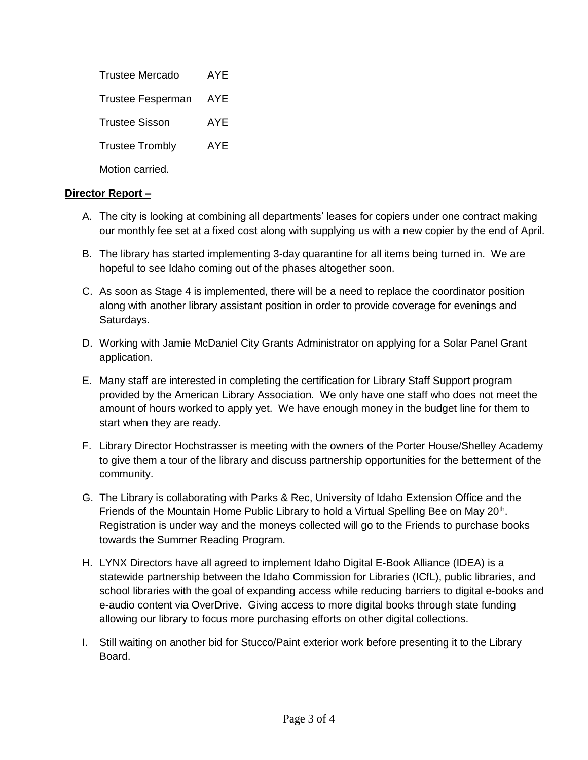| Trustee Mercado          | AYF |
|--------------------------|-----|
| <b>Trustee Fesperman</b> | AYE |
| <b>Trustee Sisson</b>    | AYE |
| <b>Trustee Trombly</b>   | AYE |
| Motion carried.          |     |

## **Director Report –**

- A. The city is looking at combining all departments' leases for copiers under one contract making our monthly fee set at a fixed cost along with supplying us with a new copier by the end of April.
- B. The library has started implementing 3-day quarantine for all items being turned in. We are hopeful to see Idaho coming out of the phases altogether soon.
- C. As soon as Stage 4 is implemented, there will be a need to replace the coordinator position along with another library assistant position in order to provide coverage for evenings and Saturdays.
- D. Working with Jamie McDaniel City Grants Administrator on applying for a Solar Panel Grant application.
- E. Many staff are interested in completing the certification for Library Staff Support program provided by the American Library Association. We only have one staff who does not meet the amount of hours worked to apply yet. We have enough money in the budget line for them to start when they are ready.
- F. Library Director Hochstrasser is meeting with the owners of the Porter House/Shelley Academy to give them a tour of the library and discuss partnership opportunities for the betterment of the community.
- G. The Library is collaborating with Parks & Rec, University of Idaho Extension Office and the Friends of the Mountain Home Public Library to hold a Virtual Spelling Bee on May 20<sup>th</sup>. Registration is under way and the moneys collected will go to the Friends to purchase books towards the Summer Reading Program.
- H. LYNX Directors have all agreed to implement Idaho Digital E-Book Alliance (IDEA) is a statewide partnership between the Idaho Commission for Libraries (ICfL), public libraries, and school libraries with the goal of expanding access while reducing barriers to digital e-books and e-audio content via OverDrive. Giving access to more digital books through state funding allowing our library to focus more purchasing efforts on other digital collections.
- I. Still waiting on another bid for Stucco/Paint exterior work before presenting it to the Library Board.